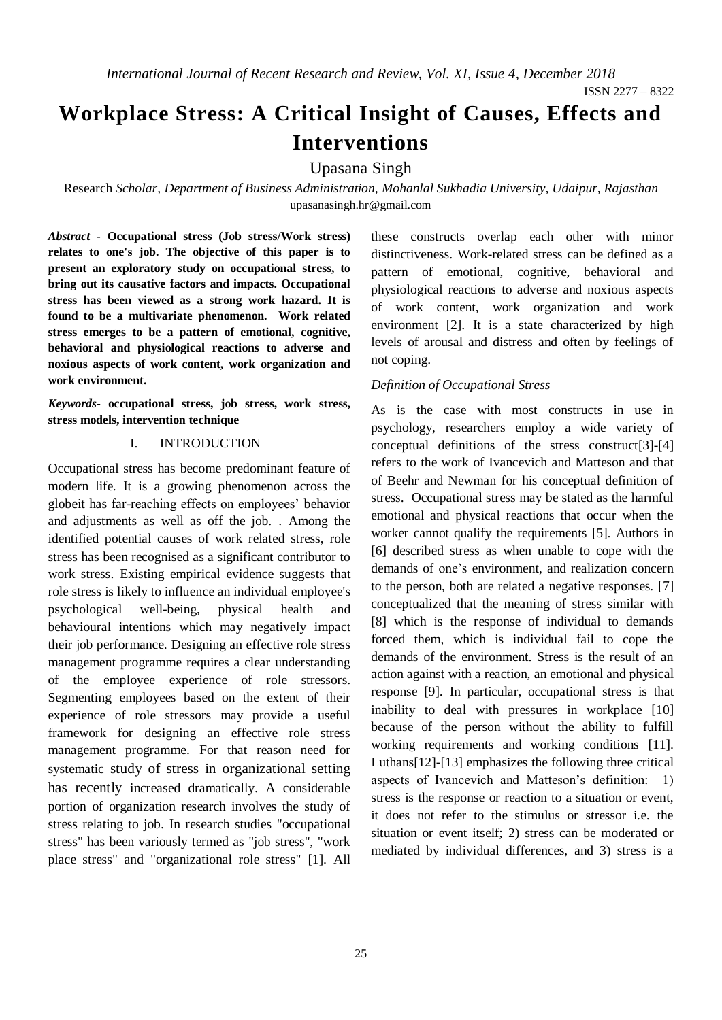# **Workplace Stress: A Critical Insight of Causes, Effects and Interventions**

Upasana Singh

Research *Scholar, Department of Business Administration, Mohanlal Sukhadia University, Udaipur, Rajasthan* upasanasingh.hr@gmail.com

*Abstract -* **Occupational stress (Job stress/Work stress) relates to one's job. The objective of this paper is to present an exploratory study on occupational stress, to bring out its causative factors and impacts. Occupational stress has been viewed as a strong work hazard. It is found to be a multivariate phenomenon. Work related stress emerges to be a pattern of emotional, cognitive, behavioral and physiological reactions to adverse and noxious aspects of work content, work organization and work environment.**

*Keywords-* **occupational stress, job stress, work stress, stress models, intervention technique** 

#### I. INTRODUCTION

Occupational stress has become predominant feature of modern life. It is a growing phenomenon across the globeit has far-reaching effects on employees' behavior and adjustments as well as off the job. . Among the identified potential causes of work related stress, role stress has been recognised as a significant contributor to work stress. Existing empirical evidence suggests that role stress is likely to influence an individual employee's psychological well-being, physical health and behavioural intentions which may negatively impact their job performance. Designing an effective role stress management programme requires a clear understanding of the employee experience of role stressors. Segmenting employees based on the extent of their experience of role stressors may provide a useful framework for designing an effective role stress management programme. For that reason need for systematic study of stress in organizational setting has recently increased dramatically. A considerable portion of organization research involves the study of stress relating to job. In research studies "occupational stress" has been variously termed as "job stress", "work place stress" and "organizational role stress" [1]. All these constructs overlap each other with minor distinctiveness. Work-related stress can be defined as a pattern of emotional, cognitive, behavioral and physiological reactions to adverse and noxious aspects of work content, work organization and work environment [2]. It is a state characterized by high levels of arousal and distress and often by feelings of not coping.

#### *Definition of Occupational Stress*

As is the case with most constructs in use in psychology, researchers employ a wide variety of conceptual definitions of the stress construct[3]-[4] refers to the work of Ivancevich and Matteson and that of Beehr and Newman for his conceptual definition of stress. Occupational stress may be stated as the harmful emotional and physical reactions that occur when the worker cannot qualify the requirements [5]. Authors in [6] described stress as when unable to cope with the demands of one's environment, and realization concern to the person, both are related a negative responses. [7] conceptualized that the meaning of stress similar with [8] which is the response of individual to demands forced them, which is individual fail to cope the demands of the environment. Stress is the result of an action against with a reaction, an emotional and physical response [9]. In particular, occupational stress is that inability to deal with pressures in workplace [10] because of the person without the ability to fulfill working requirements and working conditions [11]. Luthans[12]-[13] emphasizes the following three critical aspects of Ivancevich and Matteson's definition: 1) stress is the response or reaction to a situation or event, it does not refer to the stimulus or stressor i.e. the situation or event itself; 2) stress can be moderated or mediated by individual differences, and 3) stress is a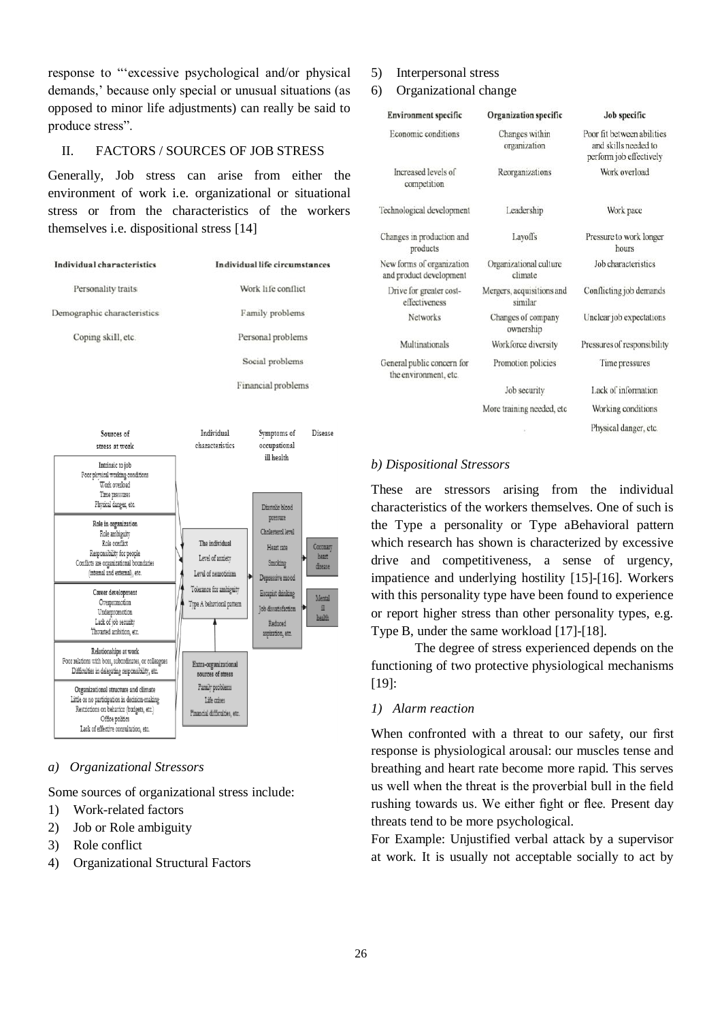response to "'excessive psychological and/or physical demands,' because only special or unusual situations (as opposed to minor life adjustments) can really be said to produce stress".

## II. FACTORS / SOURCES OF JOB STRESS

Generally, Job stress can arise from either the environment of work i.e. organizational or situational stress or from the characteristics of the workers themselves i.e. dispositional stress [14]



#### *a) Organizational Stressors*

Some sources of organizational stress include:

- 1) Work-related factors
- 2) Job or Role ambiguity
- 3) Role conflict
- 4) Organizational Structural Factors

#### 5) Interpersonal stress

#### 6) Organizational change

| <b>Environment specific</b>                          | Organization specific                | Job specific                                                                  |
|------------------------------------------------------|--------------------------------------|-------------------------------------------------------------------------------|
| Economic conditions                                  | Changes within<br>organization       | Poor fit between abilities<br>and skills needed to<br>perform job effectively |
| Increased levels of<br>competition                   | Reorganizations                      | Work overload                                                                 |
| Technological development                            | Leadership                           | Work pace                                                                     |
| Changes in production and<br>products                | Layoffs                              | Pressure to work longer<br>hours                                              |
| New forms of organization<br>and product development | Organizational culture<br>climate    | Job characteristics                                                           |
| Drive for greater cost-<br>effectiveness             | Mergers, acquisitions and<br>similar | Conflicting job demands                                                       |
| <b>Networks</b>                                      | Changes of company<br>ownership      | Unclear job expectations                                                      |
| Multinationals                                       | Workforce diversity                  | Pressures of responsibility                                                   |
| General public concern for<br>the environment, etc.  | Promotion policies                   | Time pressures                                                                |
|                                                      | Job security                         | Lack of information                                                           |
|                                                      | More training needed, etc            | Working conditions                                                            |
|                                                      |                                      | Physical danger, etc.                                                         |

#### *b) Dispositional Stressors*

These are stressors arising from the individual characteristics of the workers themselves. One of such is the Type a personality or Type aBehavioral pattern which research has shown is characterized by excessive drive and competitiveness, a sense of urgency, impatience and underlying hostility [15]-[16]. Workers with this personality type have been found to experience or report higher stress than other personality types, e.g. Type B, under the same workload [17]-[18].

The degree of stress experienced depends on the functioning of two protective physiological mechanisms [19]:

#### *1) Alarm reaction*

When confronted with a threat to our safety, our first response is physiological arousal: our muscles tense and breathing and heart rate become more rapid. This serves us well when the threat is the proverbial bull in the field rushing towards us. We either fight or flee. Present day threats tend to be more psychological.

For Example: Unjustified verbal attack by a supervisor at work. It is usually not acceptable socially to act by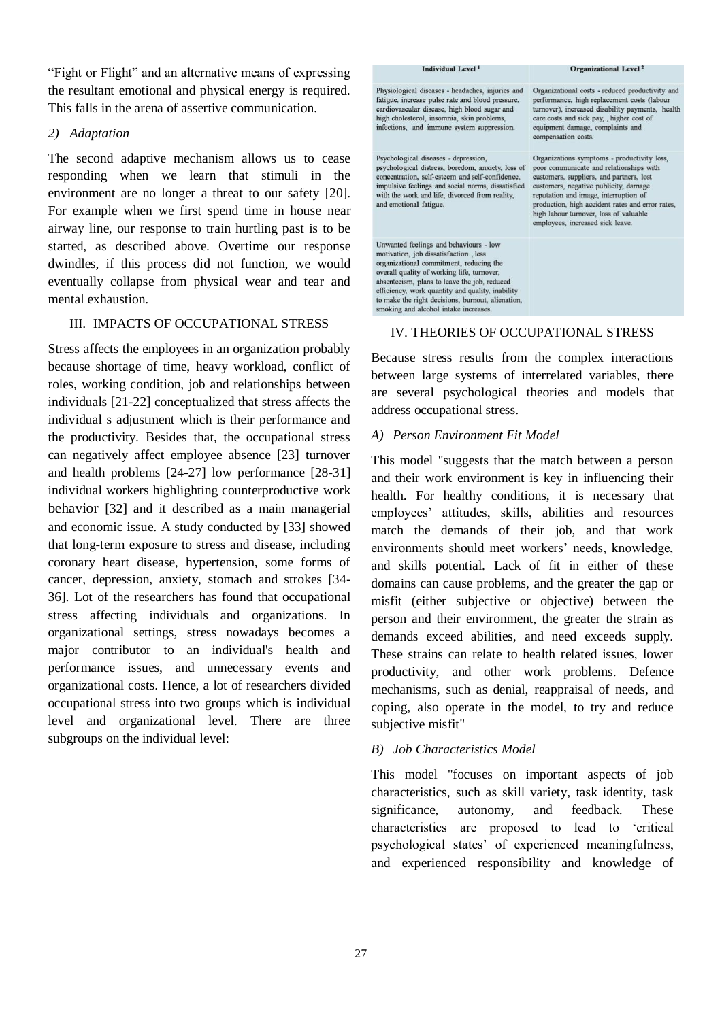"Fight or Flight" and an alternative means of expressing the resultant emotional and physical energy is required. This falls in the arena of assertive communication.

#### *2) Adaptation*

The second adaptive mechanism allows us to cease responding when we learn that stimuli in the environment are no longer a threat to our safety [20]. For example when we first spend time in house near airway line, our response to train hurtling past is to be started, as described above. Overtime our response dwindles, if this process did not function, we would eventually collapse from physical wear and tear and mental exhaustion.

# III.IMPACTS OF OCCUPATIONAL STRESS

Stress affects the employees in an organization probably because shortage of time, heavy workload, conflict of roles, working condition, job and relationships between individuals [21-22] conceptualized that stress affects the individual s adjustment which is their performance and the productivity. Besides that, the occupational stress can negatively affect employee absence [23] turnover and health problems [24-27] low performance [28-31] individual workers highlighting counterproductive work behavior [32] and it described as a main managerial and economic issue. A study conducted by [33] showed that long-term exposure to stress and disease, including coronary heart disease, hypertension, some forms of cancer, depression, anxiety, stomach and strokes [34- 36]. Lot of the researchers has found that occupational stress affecting individuals and organizations. In organizational settings, stress nowadays becomes a major contributor to an individual's health and performance issues, and unnecessary events and organizational costs. Hence, a lot of researchers divided occupational stress into two groups which is individual level and organizational level. There are three subgroups on the individual level:



# IV. THEORIES OF OCCUPATIONAL STRESS

Because stress results from the complex interactions between large systems of interrelated variables, there are several psychological theories and models that address occupational stress.

## *A) [Person Environment Fit Model](https://en.wikipedia.org/wiki/Person%E2%80%93environment_fit)*

This model "suggests that the match between a person and their work environment is key in influencing their health. For healthy conditions, it is necessary that employees' attitudes, skills, abilities and resources match the demands of their job, and that work environments should meet workers' needs, knowledge, and skills potential. Lack of fit in either of these domains can cause problems, and the greater the gap or misfit (either subjective or objective) between the person and their environment, the greater the strain as demands exceed abilities, and need exceeds supply. These strains can relate to health related issues, lower productivity, and other work problems. Defence mechanisms, such as denial, reappraisal of needs, and coping, also operate in the model, to try and reduce subjective misfit"

# *B) [Job Characteristics Model](https://en.wikipedia.org/wiki/Job_characteristic_theory)*

This model "focuses on important aspects of job characteristics, such as skill variety, task identity, task significance, autonomy, and feedback. These characteristics are proposed to lead to 'critical psychological states' of experienced meaningfulness, and experienced responsibility and knowledge of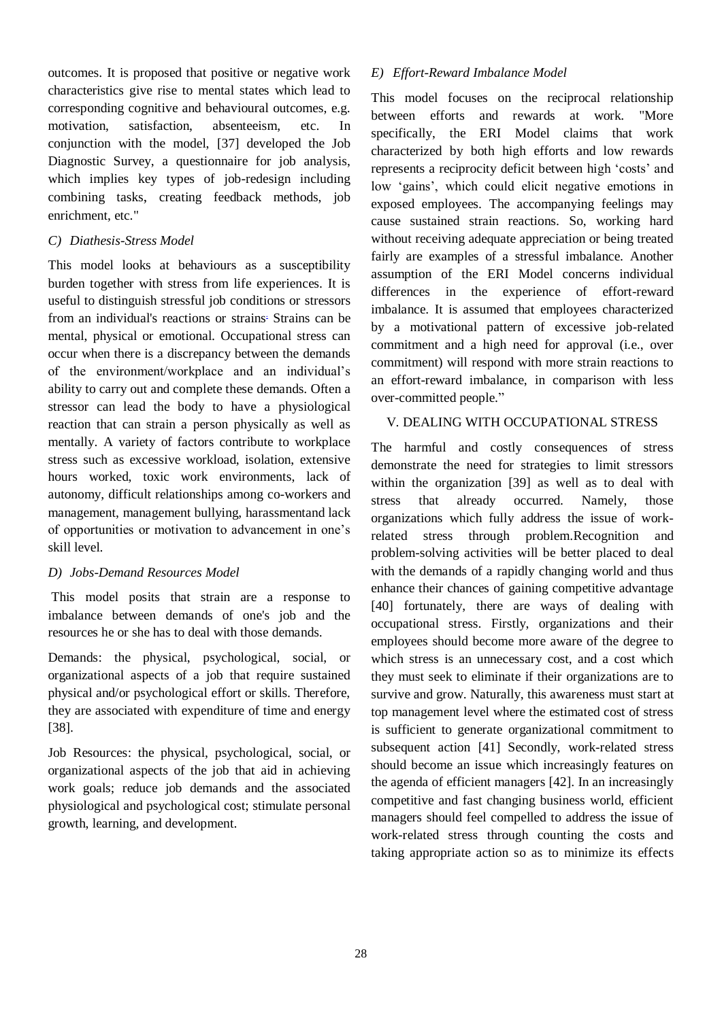outcomes. It is proposed that positive or negative work characteristics give rise to mental states which lead to corresponding cognitive and behavioural outcomes, e.g. motivation, satisfaction, absenteeism, etc. In conjunction with the model, [37] developed the Job Diagnostic Survey, a questionnaire for job analysis, which implies key types of job-redesign including combining tasks, creating feedback methods, job enrichment, etc."

# *C) [Diathesis-Stress Model](https://en.wikipedia.org/wiki/Diathesis%E2%80%93stress_model)*

This model looks at behaviours as a susceptibility burden together with stress from life experiences. It is useful to distinguish stressful job conditions or stressors from an individual's reactions or strains<sup>.</sup> Strains can be mental, physical or emotional. Occupational stress can occur when there is a discrepancy between the demands of the environment/workplace and an individual's ability to carry out and complete these demands. Often a stressor can lead the body to have a physiological reaction that can strain a person physically as well as mentally. A variety of factors contribute to workplace stress such as excessive workload, isolation, extensive hours worked, [toxic work environments,](https://en.wikipedia.org/wiki/Toxic_workplace) lack of autonomy, difficult relationships among co-workers and management, management bullying, [harassmenta](https://en.wikipedia.org/wiki/Workplace_harassment)nd lack of opportunities or motivation to advancement in one's skill level.

# *D) [Jobs-Demand Resources Model](https://en.wikipedia.org/wiki/Job_demands-resources_model)*

This model posits that strain are a response to imbalance between demands of one's job and the resources he or she has to deal with those demands.

Demands: the physical, psychological, social, or organizational aspects of a job that require sustained physical and/or psychological effort or skills. Therefore, they are associated with expenditure of time and energy [38].

Job Resources: the physical, psychological, social, or organizational aspects of the job that aid in achieving work goals; reduce job demands and the associated physiological and psychological cost; stimulate personal growth, learning, and development.

# *E) Effort-Reward Imbalance Model*

This model focuses on the reciprocal relationship between efforts and rewards at work. "More specifically, the ERI Model claims that work characterized by both high efforts and low rewards represents a reciprocity deficit between high 'costs' and low 'gains', which could elicit negative emotions in exposed employees. The accompanying feelings may cause sustained strain reactions. So, working hard without receiving adequate appreciation or being treated fairly are examples of a stressful imbalance. Another assumption of the ERI Model concerns individual differences in the experience of effort-reward imbalance. It is assumed that employees characterized by a motivational pattern of excessive job-related commitment and a high need for approval (i.e., over commitment) will respond with more strain reactions to an effort-reward imbalance, in comparison with less over-committed people."

# V. DEALING WITH OCCUPATIONAL STRESS

The harmful and costly consequences of stress demonstrate the need for strategies to limit stressors within the organization [39] as well as to deal with stress that already occurred. Namely, those organizations which fully address the issue of workrelated stress through problem.Recognition and problem-solving activities will be better placed to deal with the demands of a rapidly changing world and thus enhance their chances of gaining competitive advantage [40] fortunately, there are ways of dealing with occupational stress. Firstly, organizations and their employees should become more aware of the degree to which stress is an unnecessary cost, and a cost which they must seek to eliminate if their organizations are to survive and grow. Naturally, this awareness must start at top management level where the estimated cost of stress is sufficient to generate organizational commitment to subsequent action [41] Secondly, work-related stress should become an issue which increasingly features on the agenda of efficient managers [42]. In an increasingly competitive and fast changing business world, efficient managers should feel compelled to address the issue of work-related stress through counting the costs and taking appropriate action so as to minimize its effects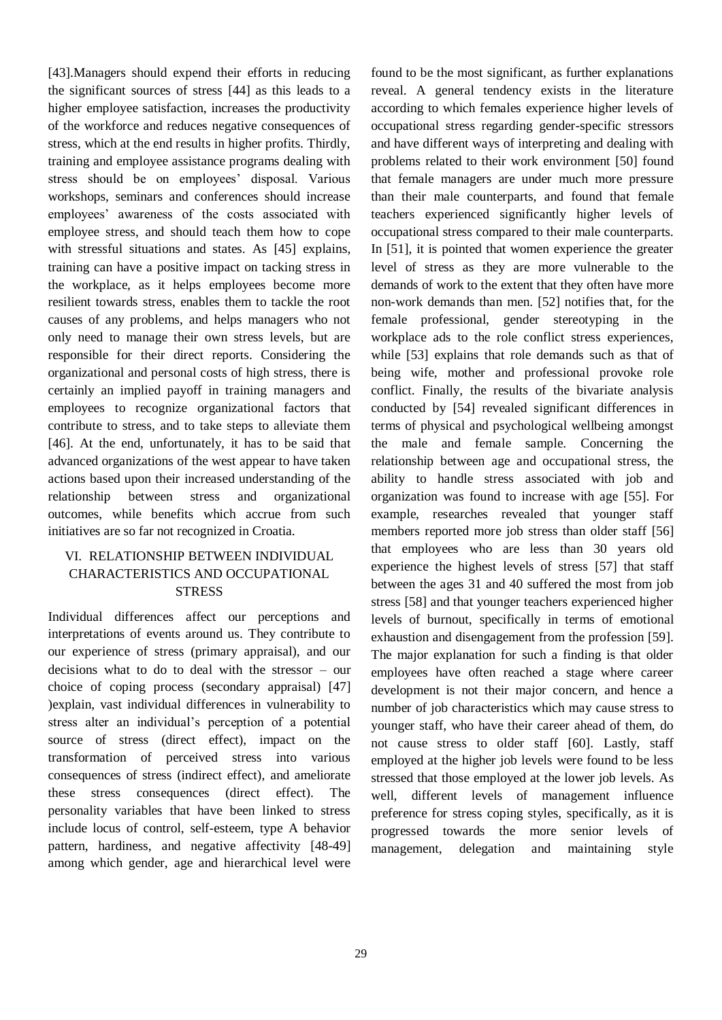[43].Managers should expend their efforts in reducing the significant sources of stress [44] as this leads to a higher employee satisfaction, increases the productivity of the workforce and reduces negative consequences of stress, which at the end results in higher profits. Thirdly, training and employee assistance programs dealing with stress should be on employees' disposal. Various workshops, seminars and conferences should increase employees' awareness of the costs associated with employee stress, and should teach them how to cope with stressful situations and states. As [45] explains, training can have a positive impact on tacking stress in the workplace, as it helps employees become more resilient towards stress, enables them to tackle the root causes of any problems, and helps managers who not only need to manage their own stress levels, but are responsible for their direct reports. Considering the organizational and personal costs of high stress, there is certainly an implied payoff in training managers and employees to recognize organizational factors that contribute to stress, and to take steps to alleviate them [46]. At the end, unfortunately, it has to be said that advanced organizations of the west appear to have taken actions based upon their increased understanding of the relationship between stress and organizational outcomes, while benefits which accrue from such initiatives are so far not recognized in Croatia.

# VI. RELATIONSHIP BETWEEN INDIVIDUAL CHARACTERISTICS AND OCCUPATIONAL **STRESS**

Individual differences affect our perceptions and interpretations of events around us. They contribute to our experience of stress (primary appraisal), and our decisions what to do to deal with the stressor – our choice of coping process (secondary appraisal) [47] )explain, vast individual differences in vulnerability to stress alter an individual's perception of a potential source of stress (direct effect), impact on the transformation of perceived stress into various consequences of stress (indirect effect), and ameliorate these stress consequences (direct effect). The personality variables that have been linked to stress include locus of control, self-esteem, type A behavior pattern, hardiness, and negative affectivity [48-49] among which gender, age and hierarchical level were found to be the most significant, as further explanations reveal. A general tendency exists in the literature according to which females experience higher levels of occupational stress regarding gender-specific stressors and have different ways of interpreting and dealing with problems related to their work environment [50] found that female managers are under much more pressure than their male counterparts, and found that female teachers experienced significantly higher levels of occupational stress compared to their male counterparts. In [51], it is pointed that women experience the greater level of stress as they are more vulnerable to the demands of work to the extent that they often have more non-work demands than men. [52] notifies that, for the female professional, gender stereotyping in the workplace ads to the role conflict stress experiences, while [53] explains that role demands such as that of being wife, mother and professional provoke role conflict. Finally, the results of the bivariate analysis conducted by [54] revealed significant differences in terms of physical and psychological wellbeing amongst the male and female sample. Concerning the relationship between age and occupational stress, the ability to handle stress associated with job and organization was found to increase with age [55]. For example, researches revealed that younger staff members reported more job stress than older staff [56] that employees who are less than 30 years old experience the highest levels of stress [57] that staff between the ages 31 and 40 suffered the most from job stress [58] and that younger teachers experienced higher levels of burnout, specifically in terms of emotional exhaustion and disengagement from the profession [59]. The major explanation for such a finding is that older employees have often reached a stage where career development is not their major concern, and hence a number of job characteristics which may cause stress to younger staff, who have their career ahead of them, do not cause stress to older staff [60]. Lastly, staff employed at the higher job levels were found to be less stressed that those employed at the lower job levels. As well, different levels of management influence preference for stress coping styles, specifically, as it is progressed towards the more senior levels of management, delegation and maintaining style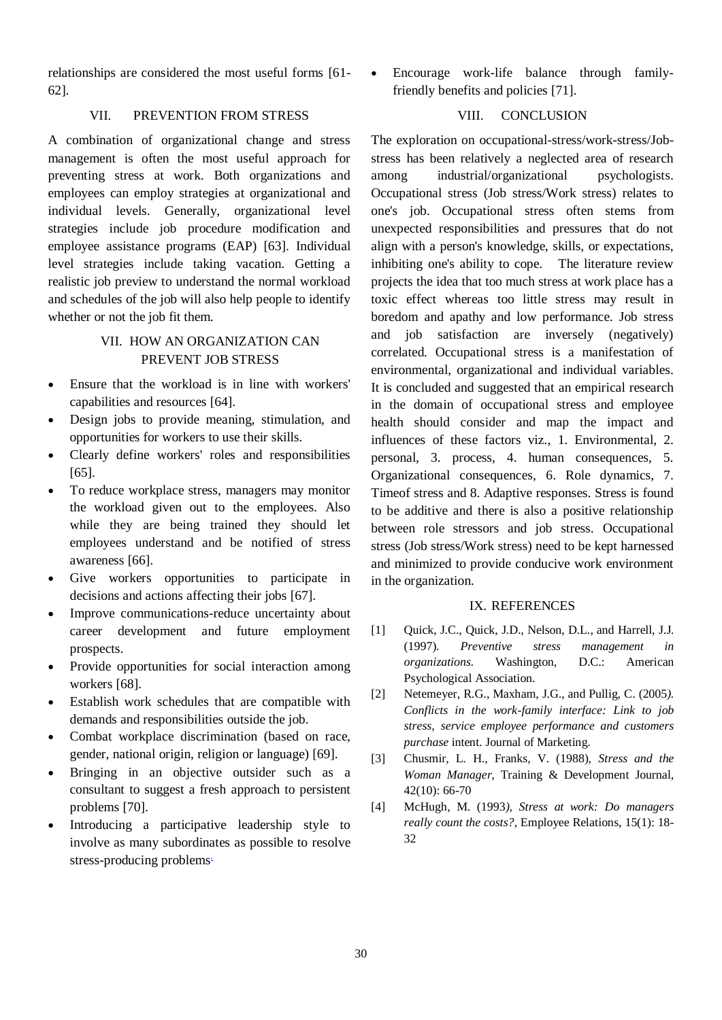relationships are considered the most useful forms [61- 62].

#### VII. PREVENTION FROM STRESS

A combination of organizational change and stress management is often the most useful approach for preventing stress at work. Both organizations and employees can employ strategies at organizational and individual levels. Generally, organizational level strategies include job procedure modification and employee assistance programs (EAP) [63]. Individual level strategies include taking vacation. Getting a realistic job preview to understand the normal workload and schedules of the job will also help people to identify whether or not the job fit them.

# VII. HOW AN ORGANIZATION CAN PREVENT JOB STRESS

- Ensure that the workload is in line with workers' capabilities and resources [64].
- Design jobs to provide meaning, stimulation, and opportunities for workers to use their skills.
- Clearly define workers' roles and responsibilities [65].
- To reduce workplace stress, managers may monitor the workload given out to the employees. Also while they are being trained they should let employees understand and be notified of stress awareness [66].
- Give workers opportunities to participate in decisions and actions affecting their jobs [67].
- Improve communications-reduce uncertainty about career development and future employment prospects.
- Provide opportunities for social interaction among workers [68].
- Establish work schedules that are compatible with demands and responsibilities outside the job.
- Combat workplace [discrimination](https://en.wikipedia.org/wiki/Discrimination) (based on race, gender, national origin, religion or language) [69].
- Bringing in an objective outsider such as a consultant to suggest a fresh approach to persistent problems [70].
- Introducing a participative leadership style to involve as many subordinates as possible to resolve stress-producing problems.

 Encourage work-life balance through familyfriendly benefits and policies [71].

# VIII. CONCLUSION

The exploration on occupational-stress/work-stress/Jobstress has been relatively a neglected area of research among industrial/organizational psychologists. Occupational stress (Job stress/Work stress) relates to one's job. Occupational stress often stems from unexpected responsibilities and pressures that do not align with a person's knowledge, skills, or expectations, inhibiting one's ability to cope. The literature review projects the idea that too much stress at work place has a toxic effect whereas too little stress may result in boredom and apathy and low performance. Job stress and job satisfaction are inversely (negatively) correlated. Occupational stress is a manifestation of environmental, organizational and individual variables. It is concluded and suggested that an empirical research in the domain of occupational stress and employee health should consider and map the impact and influences of these factors viz., 1. Environmental, 2. personal, 3. process, 4. human consequences, 5. Organizational consequences, 6. Role dynamics, 7. Timeof stress and 8. Adaptive responses. Stress is found to be additive and there is also a positive relationship between role stressors and job stress. Occupational stress (Job stress/Work stress) need to be kept harnessed and minimized to provide conducive work environment in the organization.

#### IX. REFERENCES

- [1] Quick, J.C., Quick, J.D., Nelson, D.L., and Harrell, J.J. (1997). *Preventive stress management in organizations.* Washington, D.C.: American Psychological Association.
- [2] Netemeyer, R.G., Maxham, J.G., and Pullig, C. (2005*). Conflicts in the work-family interface: Link to job stress, service employee performance and customers purchase* intent. Journal of Marketing.
- [3] Chusmir, L. H., Franks, V. (1988), *Stress and the Woman Manager,* Training & Development Journal, 42(10): 66-70
- [4] McHugh, M. (1993*), Stress at work: Do managers really count the costs?*, Employee Relations, 15(1): 18- 32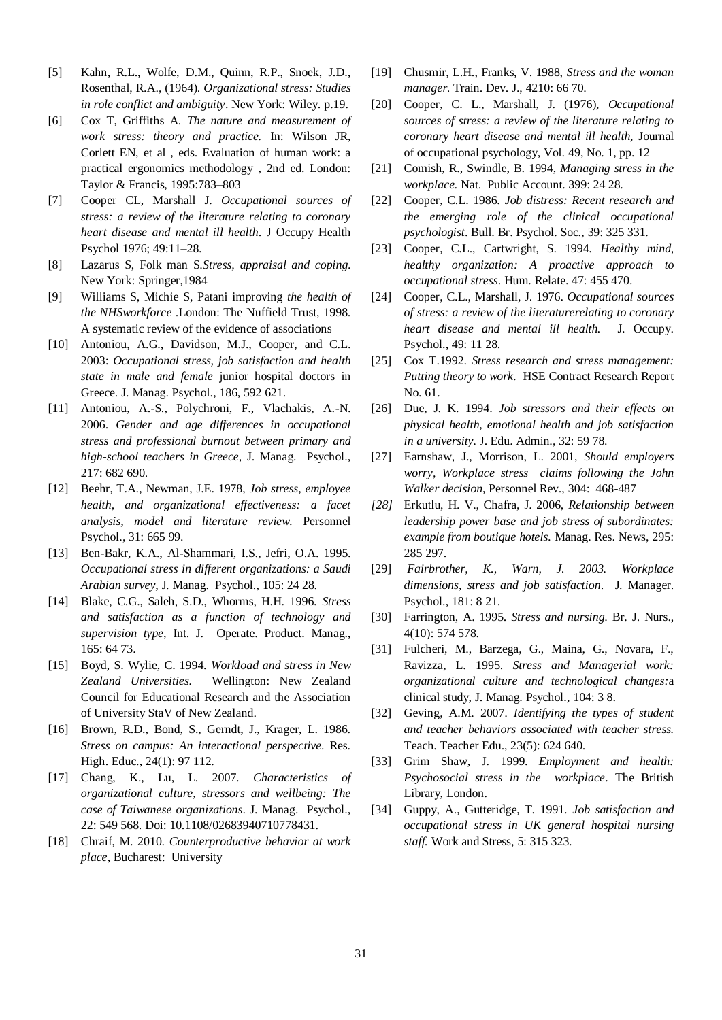- [5] Kahn, R.L., Wolfe, D.M., Quinn, R.P., Snoek, J.D., Rosenthal, R.A., (1964). *Organizational stress: Studies in role conflict and ambiguity*. New York: Wiley. p.19.
- [6] Cox T, Griffiths A. *The nature and measurement of work stress: theory and practice.* In: Wilson JR, Corlett EN, et al , eds. Evaluation of human work: a practical ergonomics methodology , 2nd ed. London: Taylor & Francis, 1995:783–803
- [7] Cooper CL, Marshall J. *Occupational sources of stress: a review of the literature relating to coronary heart disease and mental ill health*. J Occupy Health Psychol 1976; 49:11–28.
- [8] Lazarus S, Folk man S.*Stress, appraisal and coping*. New York: Springer,1984
- [9] Williams S, Michie S, Patani improving *the health of the NHSworkforce* .London: The Nuffield Trust, 1998. A systematic review of the evidence of associations
- [10] Antoniou, A.G., Davidson, M.J., Cooper, and C.L. 2003: *Occupational stress, job satisfaction and health state in male and female* junior hospital doctors in Greece. J. Manag. Psychol., 186, 592 621.
- [11] Antoniou, A.-S., Polychroni, F., Vlachakis, A.-N. 2006. *Gender and age differences in occupational stress and professional burnout between primary and high-school teachers in Greece,* J. Manag. Psychol., 217: 682 690.
- [12] Beehr, T.A., Newman, J.E. 1978, *Job stress, employee health, and organizational effectiveness: a facet analysis, model and literature review.* Personnel Psychol., 31: 665 99.
- [13] Ben-Bakr, K.A., Al-Shammari, I.S., Jefri, O.A. 1995. *Occupational stress in different organizations: a Saudi Arabian survey*, J. Manag. Psychol., 105: 24 28.
- [14] Blake, C.G., Saleh, S.D., Whorms, H.H. 1996. *Stress and satisfaction as a function of technology and supervision type,* Int. J. Operate. Product. Manag., 165: 64 73.
- [15] Boyd, S. Wylie, C. 1994. *Workload and stress in New Zealand Universities.* Wellington: New Zealand Council for Educational Research and the Association of University StaV of New Zealand.
- [16] Brown, R.D., Bond, S., Gerndt, J., Krager, L. 1986. *Stress on campus: An interactional perspective*. Res. High. Educ., 24(1): 97 112.
- [17] Chang, K., Lu, L. 2007. *Characteristics of organizational culture, stressors and wellbeing: The case of Taiwanese organizations*. J. Manag. Psychol., 22: 549 568. Doi: 10.1108/02683940710778431.
- [18] Chraif, M. 2010. *Counterproductive behavior at work place,* Bucharest: University
- [19] Chusmir, L.H., Franks, V. 1988, *Stress and the woman manager.* Train. Dev. J., 4210: 66 70.
- [20] Cooper, C. L., Marshall, J. (1976), *Occupational sources of stress: a review of the literature relating to coronary heart disease and mental ill health,* Journal of occupational psychology, Vol. 49, No. 1, pp. 12
- [21] Comish, R., Swindle, B. 1994, *Managing stress in the workplace.* Nat. Public Account. 399: 24 28.
- [22] Cooper, C.L. 1986. *Job distress: Recent research and the emerging role of the clinical occupational psychologist*. Bull. Br. Psychol. Soc., 39: 325 331.
- [23] Cooper, C.L., Cartwright, S. 1994. *Healthy mind, healthy organization: A proactive approach to occupational stress*. Hum. Relate. 47: 455 470.
- [24] Cooper, C.L., Marshall, J. 1976. *Occupational sources of stress: a review of the literaturerelating to coronary heart disease and mental ill health.* J. Occupy. Psychol., 49: 11 28.
- [25] Cox T.1992. *Stress research and stress management: Putting theory to work.* HSE Contract Research Report No. 61.
- [26] Due, J. K. 1994. *Job stressors and their effects on physical health, emotional health and job satisfaction in a university.* J. Edu. Admin., 32: 59 78.
- [27] Earnshaw, J., Morrison, L. 2001, *Should employers worry, Workplace stress claims following the John Walker decision*, Personnel Rev., 304: 468-487
- *[28]* Erkutlu, H. V., Chafra, J. 2006, *Relationship between leadership power base and job stress of subordinates: example from boutique hotels.* Manag. Res. News, 295: 285 297.
- [29] *Fairbrother, K., Warn, J. 2003. Workplace dimensions, stress and job satisfaction*. J. Manager. Psychol., 181: 8 21.
- [30] Farrington, A. 1995. *Stress and nursing*. Br. J. Nurs., 4(10): 574 578.
- [31] Fulcheri, M., Barzega, G., Maina, G., Novara, F., Ravizza, L. 1995. *Stress and Managerial work: organizational culture and technological changes:*a clinical study, J. Manag. Psychol., 104: 3 8.
- [32] Geving, A.M. 2007*. Identifying the types of student and teacher behaviors associated with teacher stress.* Teach. Teacher Edu., 23(5): 624 640.
- [33] Grim Shaw, J. 1999. *Employment and health: Psychosocial stress in the workplace*. The British Library, London.
- [34] Guppy, A., Gutteridge, T. 1991. *Job satisfaction and occupational stress in UK general hospital nursing staff.* Work and Stress, 5: 315 323.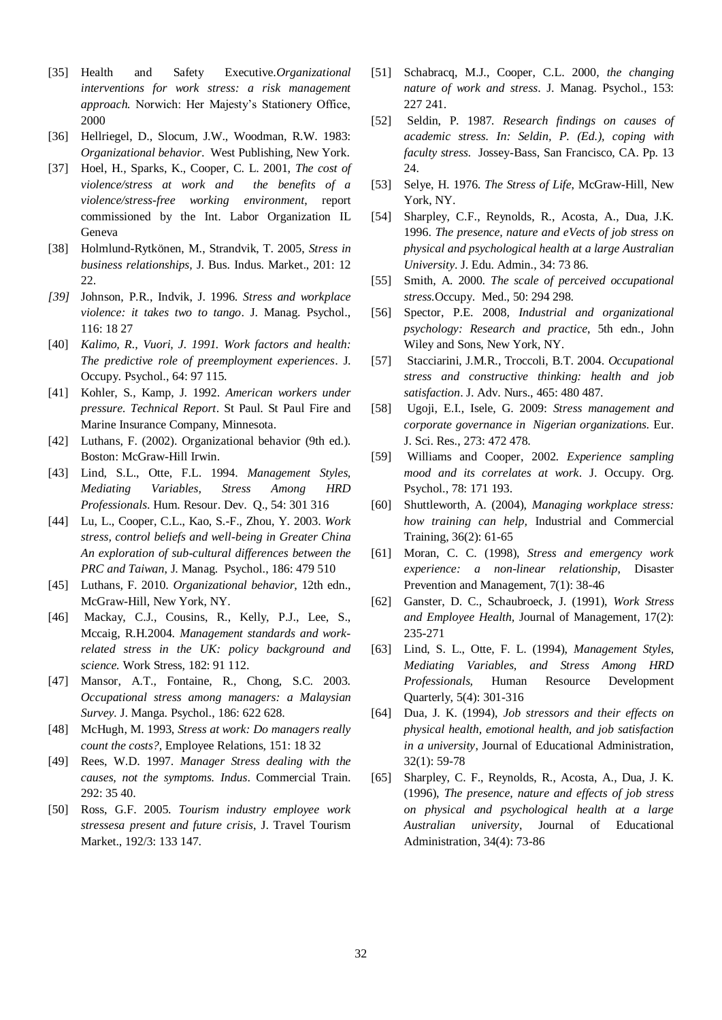- [35] Health and Safety Executive.*Organizational* interventions for work stress: a risk management *approach.* Norwich: Her Majesty's Stationery Office, 2000
- [36] Hellriegel, D., Slocum, J.W., Woodman, R.W. 1983: *Organizational behavior*. West Publishing, New York.
- [37] Hoel, H., Sparks, K., Cooper, C. L. 2001, *The cost of violence/stress at work and the benefits of a violence/stress-free working environment*, report commissioned by the Int. Labor Organization IL Geneva
- [38] Holmlund-Rytkönen, M., Strandvik, T. 2005, *Stress in business relationships,* J. Bus. Indus. Market., 201: 12 22.
- *[39]* Johnson, P.R., Indvik, J. 1996. *Stress and workplace violence: it takes two to tango*. J. Manag. Psychol., 116: 18 27
- [40] *Kalimo, R., Vuori, J. 1991. Work factors and health: The predictive role of preemployment experiences*. J. Occupy. Psychol., 64: 97 115.
- [41] Kohler, S., Kamp, J. 1992. *American workers under pressure. Technical Report*. St Paul. St Paul Fire and Marine Insurance Company, Minnesota.
- [42] Luthans, F. (2002). Organizational behavior (9th ed.). Boston: McGraw-Hill Irwin.
- [43] Lind, S.L., Otte, F.L. 1994. *Management Styles, Mediating Variables, Stress Among HRD Professionals*. Hum. Resour. Dev. Q., 54: 301 316
- [44] Lu, L., Cooper, C.L., Kao, S.-F., Zhou, Y. 2003. *Work stress, control beliefs and well-being in Greater China An exploration of sub-cultural differences between the PRC and Taiwan*, J. Manag. Psychol., 186: 479 510
- [45] Luthans, F. 2010. *Organizational behavior*, 12th edn., McGraw-Hill, New York, NY.
- [46] Mackay, C.J., Cousins, R., Kelly, P.J., Lee, S., Mccaig, R.H.2004. *Management standards and workrelated stress in the UK: policy background and science.* Work Stress, 182: 91 112.
- [47] Mansor, A.T., Fontaine, R., Chong, S.C. 2003. *Occupational stress among managers: a Malaysian Survey.* J. Manga. Psychol., 186: 622 628.
- [48] McHugh, M. 1993, *Stress at work: Do managers really count the costs?,* Employee Relations, 151: 18 32
- [49] Rees, W.D. 1997. *Manager Stress dealing with the causes, not the symptoms. Indus*. Commercial Train. 292: 35 40.
- [50] Ross, G.F. 2005. *Tourism industry employee work stressesa present and future crisis*, J. Travel Tourism Market., 192/3: 133 147.
- [51] Schabracq, M.J., Cooper, C.L. 2000*, the changing nature of work and stress*. J. Manag. Psychol., 153: 227 241.
- [52] Seldin, P. 1987*. Research findings on causes of academic stress. In: Seldin, P. (Ed.), coping with faculty stress.* Jossey-Bass, San Francisco, CA. Pp. 13 24.
- [53] Selye, H. 1976. *The Stress of Life*, McGraw-Hill, New York, NY.
- [54] Sharpley, C.F., Reynolds, R., Acosta, A., Dua, J.K. 1996. *The presence, nature and eVects of job stress on physical and psychological health at a large Australian University*. J. Edu. Admin., 34: 73 86.
- [55] Smith, A. 2000. *The scale of perceived occupational stress.*Occupy. Med., 50: 294 298.
- [56] Spector, P.E. 2008*, Industrial and organizational psychology: Research and practice*, 5th edn., John Wiley and Sons, New York, NY.
- [57] Stacciarini, J.M.R., Troccoli, B.T. 2004. *Occupational stress and constructive thinking: health and job satisfaction*. J. Adv. Nurs., 465: 480 487.
- [58] Ugoji, E.I., Isele, G. 2009: *Stress management and corporate governance in Nigerian organizations.* Eur. J. Sci. Res., 273: 472 478.
- [59] Williams and Cooper, 2002*. Experience sampling mood and its correlates at work*. J. Occupy. Org. Psychol., 78: 171 193.
- [60] Shuttleworth, A. (2004), *Managing workplace stress: how training can help,* Industrial and Commercial Training, 36(2): 61-65
- [61] Moran, C. C. (1998), *Stress and emergency work experience: a non-linear relationship*, Disaster Prevention and Management, 7(1): 38-46
- [62] Ganster, D. C., Schaubroeck, J. (1991), *Work Stress and Employee Health,* Journal of Management, 17(2): 235-271
- [63] Lind, S. L., Otte, F. L. (1994), *Management Styles, Mediating Variables, and Stress Among HRD Professionals,* Human Resource Development Quarterly, 5(4): 301-316
- [64] Dua, J. K. (1994), *Job stressors and their effects on physical health, emotional health, and job satisfaction in a university*, Journal of Educational Administration, 32(1): 59-78
- [65] Sharpley, C. F., Reynolds, R., Acosta, A., Dua, J. K. (1996), *The presence, nature and effects of job stress on physical and psychological health at a large Australian university*, Journal of Educational Administration, 34(4): 73-86